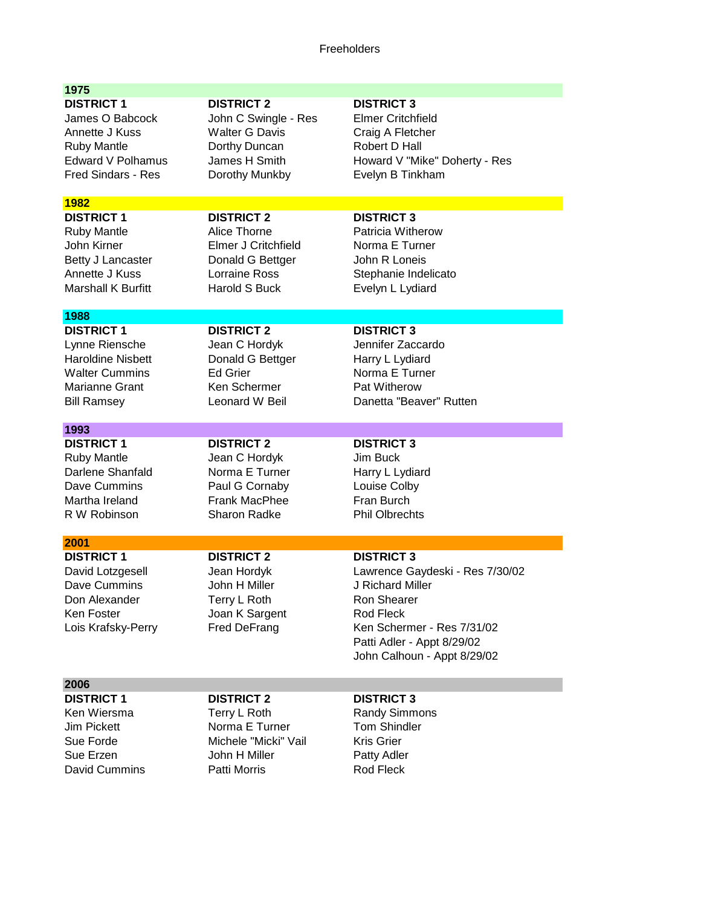## Freeholders

| 1975                                                                                                                                  |                                                                                                                        |                                                                                                                                                                                                 |
|---------------------------------------------------------------------------------------------------------------------------------------|------------------------------------------------------------------------------------------------------------------------|-------------------------------------------------------------------------------------------------------------------------------------------------------------------------------------------------|
| <b>DISTRICT 1</b><br>James O Babcock<br>Annette J Kuss<br><b>Ruby Mantle</b><br><b>Edward V Polhamus</b><br><b>Fred Sindars - Res</b> | <b>DISTRICT 2</b><br>John C Swingle - Res<br><b>Walter G Davis</b><br>Dorthy Duncan<br>James H Smith<br>Dorothy Munkby | <b>DISTRICT 3</b><br><b>Elmer Critchfield</b><br>Craig A Fletcher<br>Robert D Hall<br>Howard V "Mike" Doherty - Res<br>Evelyn B Tinkham                                                         |
| 1982                                                                                                                                  |                                                                                                                        |                                                                                                                                                                                                 |
| <b>DISTRICT 1</b><br><b>Ruby Mantle</b><br>John Kirner<br>Betty J Lancaster<br>Annette J Kuss<br><b>Marshall K Burfitt</b>            | <b>DISTRICT 2</b><br>Alice Thorne<br>Elmer J Critchfield<br>Donald G Bettger<br>Lorraine Ross<br><b>Harold S Buck</b>  | <b>DISTRICT 3</b><br>Patricia Witherow<br>Norma E Turner<br>John R Loneis<br>Stephanie Indelicato<br>Evelyn L Lydiard                                                                           |
| 1988                                                                                                                                  |                                                                                                                        |                                                                                                                                                                                                 |
| <b>DISTRICT 1</b><br>Lynne Riensche<br><b>Haroldine Nisbett</b><br><b>Walter Cummins</b><br>Marianne Grant<br><b>Bill Ramsey</b>      | <b>DISTRICT 2</b><br>Jean C Hordyk<br>Donald G Bettger<br><b>Ed Grier</b><br>Ken Schermer<br>Leonard W Beil            | <b>DISTRICT 3</b><br>Jennifer Zaccardo<br>Harry L Lydiard<br>Norma E Turner<br>Pat Witherow<br>Danetta "Beaver" Rutten                                                                          |
| 1993                                                                                                                                  |                                                                                                                        |                                                                                                                                                                                                 |
| <b>DISTRICT 1</b><br><b>Ruby Mantle</b><br>Darlene Shanfald<br>Dave Cummins<br>Martha Ireland<br>R W Robinson                         | <b>DISTRICT 2</b><br>Jean C Hordyk<br>Norma E Turner<br>Paul G Cornaby<br><b>Frank MacPhee</b><br><b>Sharon Radke</b>  | <b>DISTRICT 3</b><br>Jim Buck<br>Harry L Lydiard<br>Louise Colby<br>Fran Burch<br><b>Phil Olbrechts</b>                                                                                         |
| 2001                                                                                                                                  |                                                                                                                        |                                                                                                                                                                                                 |
| <b>DISTRICT 1</b><br>David Lotzgesell<br>Dave Cummins<br>Don Alexander<br>Ken Foster<br>Lois Krafsky-Perry                            | <b>DISTRICT 2</b><br>Jean Hordyk<br>John H Miller<br>Terry L Roth<br>Joan K Sargent<br>Fred DeFrang                    | <b>DISTRICT 3</b><br>Lawrence Gaydeski - Res 7/30/02<br>J Richard Miller<br>Ron Shearer<br>Rod Fleck<br>Ken Schermer - Res 7/31/02<br>Patti Adler - Appt 8/29/02<br>John Calhoun - Appt 8/29/02 |
| 2006                                                                                                                                  |                                                                                                                        |                                                                                                                                                                                                 |
| <b>DISTRICT 1</b><br>Ken Wiersma<br>Jim Pickett<br>Sue Forde<br>Sue Erzen<br>David Cummins                                            | <b>DISTRICT 2</b><br>Terry L Roth<br>Norma E Turner<br>Michele "Micki" Vail<br>John H Miller<br>Patti Morris           | <b>DISTRICT 3</b><br><b>Randy Simmons</b><br><b>Tom Shindler</b><br><b>Kris Grier</b><br>Patty Adler<br>Rod Fleck                                                                               |